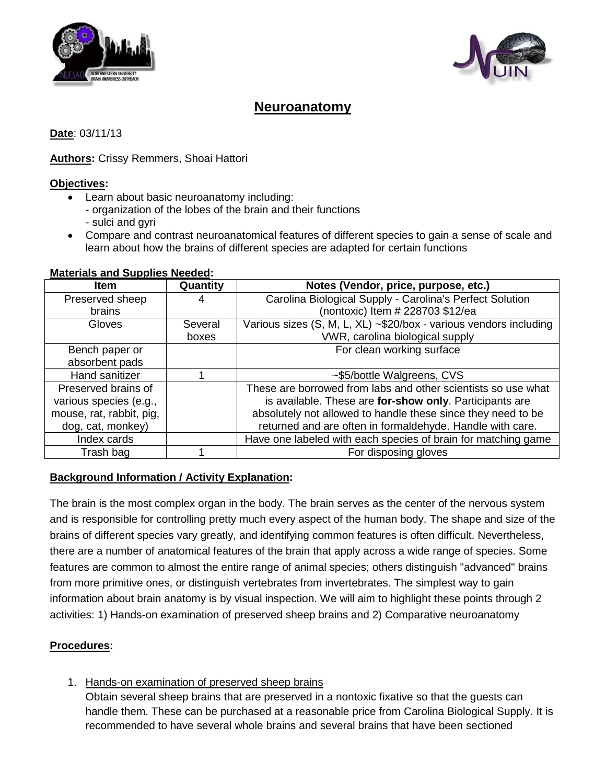



# **Neuroanatomy**

**Date**: 03/11/13

## **Authors:** Crissy Remmers, Shoai Hattori

### **Objectives :**

- Learn about basic neuroanatomy including:
	- organization of the lobes of the brain and their functions
	- sulci and gyri
- Compare and contrast neuroanatomical features of different species to gain a sense of scale and learn about how the brains of different species are adapted for certain functions

# **Materials and Supplies Needed :**

| <b>Item</b>              | Quantity | Notes (Vendor, price, purpose, etc.)                              |
|--------------------------|----------|-------------------------------------------------------------------|
| Preserved sheep          | 4        | Carolina Biological Supply - Carolina's Perfect Solution          |
| brains                   |          | (nontoxic) Item # 228703 \$12/ea                                  |
| Gloves                   | Several  | Various sizes (S, M, L, XL) ~\$20/box - various vendors including |
|                          | boxes    | VWR, carolina biological supply                                   |
| Bench paper or           |          | For clean working surface                                         |
| absorbent pads           |          |                                                                   |
| Hand sanitizer           |          | ~\$5/bottle Walgreens, CVS                                        |
| Preserved brains of      |          | These are borrowed from labs and other scientists so use what     |
| various species (e.g.,   |          | is available. These are for-show only. Participants are           |
| mouse, rat, rabbit, pig, |          | absolutely not allowed to handle these since they need to be      |
| dog, cat, monkey)        |          | returned and are often in formaldehyde. Handle with care.         |
| Index cards              |          | Have one labeled with each species of brain for matching game     |
| Trash bag                |          | For disposing gloves                                              |

## **Background Information / Activity Explanation :**

The brain is the most complex organ in the body. The brain serves as the center of the nervous system and is responsible for controlling pretty much every aspect of the human body. The shape and size of the brains of different species vary greatly, and identifying common features is often difficult. Nevertheless, there are a number of anatomical features of the brain that apply across a wide range of species. Some features are common to almost the entire range of animal species; others distinguish "advanced" brains from more primitive ones, or distinguish vertebrates from invertebrates. The simplest way to gain information about brain anatomy is by visual inspection. We will aim to highlight these points through 2 activities: 1) Hands-on examination of preserved sheep brains and 2) Comparative neuroanatomy

### **Procedures:**

1. Hands-on examination of preserved sheep brains

Obtain several sheep brains that are preserved in a nontoxic fixative so that the guests can handle them. These can be purchased at a reasonable price from Carolina Biological Supply. It is recommended to have several whole brains and several brains that have been sectioned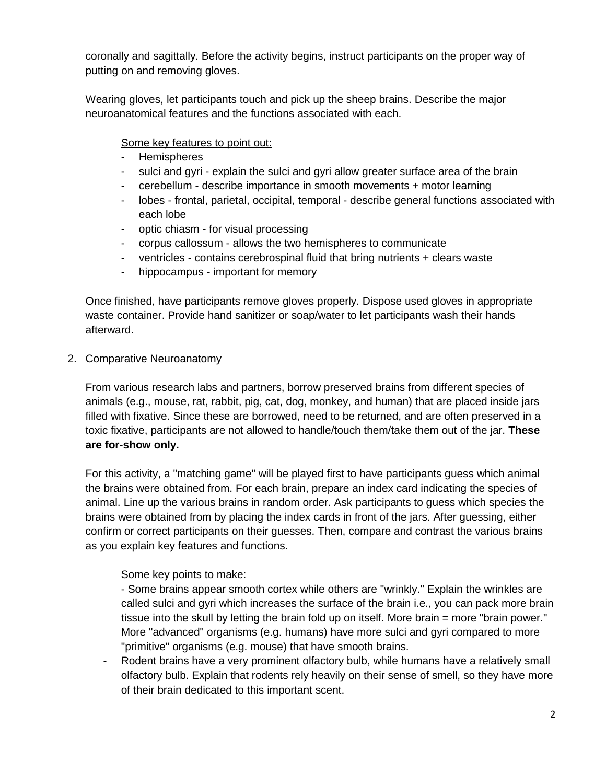coronally and sagittally. Before the activity begins, instruct participants on the proper way of putting on and removing gloves.

Wearing gloves, let participants touch and pick up the sheep brains. Describe the major neuroanatomical features and the functions associated with each.

#### Some key features to point out:

- Hemispheres
- sulci and gyri explain the sulci and gyri allow greater surface area of the brain
- cerebellum describe importance in smooth movements + motor learning
- lobes frontal, parietal, occipital, temporal describe general functions associated with each lobe
- optic chiasm for visual processing
- corpus callossum allows the two hemispheres to communicate
- ventricles contains cerebrospinal fluid that bring nutrients + clears waste
- hippocampus important for memory

Once finished, have participants remove gloves properly. Dispose used gloves in appropriate waste container. Provide hand sanitizer or soap/water to let participants wash their hands afterward.

#### 2. Comparative Neuroanatomy

From various research labs and partners, borrow preserved brains from different species of animals (e.g., mouse, rat, rabbit, pig, cat, dog, monkey, and human) that are placed inside jars filled with fixative. Since these are borrowed, need to be returned, and are often preserved in a toxic fixative, participants are not allowed to handle/touch them/take them out of the jar. **These are for-show only.**

For this activity, a "matching game" will be played first to have participants guess which animal the brains were obtained from. For each brain, prepare an index card indicating the species of animal. Line up the various brains in random order. Ask participants to guess which species the brains were obtained from by placing the index cards in front of the jars. After guessing, either confirm or correct participants on their guesses. Then, compare and contrast the various brains as you explain key features and functions.

#### Some key points to make:

- Some brains appear smooth cortex while others are "wrinkly." Explain the wrinkles are called sulci and gyri which increases the surface of the brain i.e., you can pack more brain tissue into the skull by letting the brain fold up on itself. More brain = more "brain power." More "advanced" organisms (e.g. humans) have more sulci and gyri compared to more "primitive" organisms (e.g. mouse) that have smooth brains.

Rodent brains have a very prominent olfactory bulb, while humans have a relatively small olfactory bulb. Explain that rodents rely heavily on their sense of smell, so they have more of their brain dedicated to this important scent.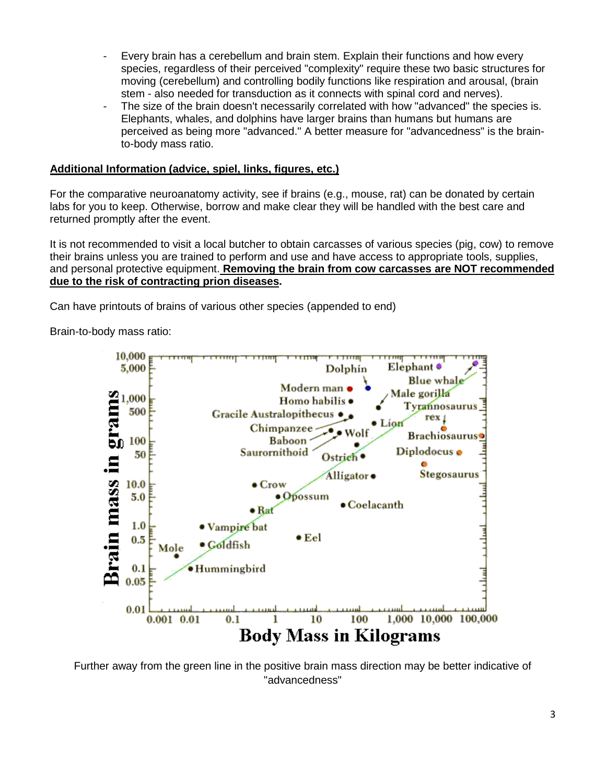- Every brain has a cerebellum and brain stem. Explain their functions and how every species, regardless of their perceived "complexity" require these two basic structures for moving (cerebellum) and controlling bodily functions like respiration and arousal, (brain stem - also needed for transduction as it connects with spinal cord and nerves).
- The size of the brain doesn't necessarily correlated with how "advanced" the species is. Elephants, whales, and dolphins have larger brains than humans but humans are perceived as being more "advanced." A better measure for "advancedness" is the brainto-body mass ratio.

#### **Additional Information (advice, spiel, links, figures, etc.)**

For the comparative neuroanatomy activity, see if brains (e.g., mouse, rat) can be donated by certain labs for you to keep. Otherwise, borrow and make clear they will be handled with the best care and returned promptly after the event.

It is not recommended to visit a local butcher to obtain carcasses of various species (pig, cow) to remove their brains unless you are trained to perform and use and have access to appropriate tools, supplies, and personal protective equipment. **Removing the brain from cow carcasses are NOT recommended due to the risk of contracting prion diseases.** 

Can have printouts of brains of various other species (appended to end)

Brain-to-body mass ratio:



Further away from the green line in the positive brain mass direction may be better indicative of "advancedness"